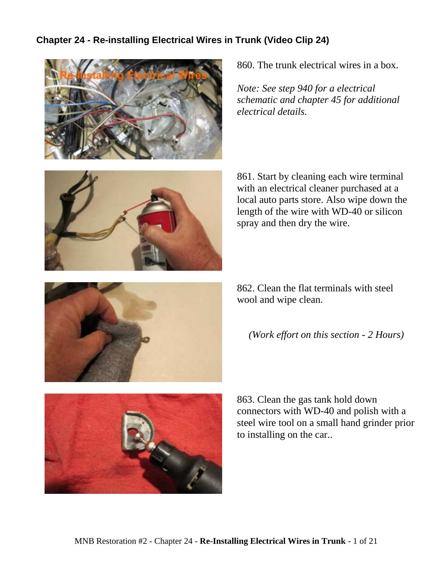## **Chapter 24 - Re-installing Electrical Wires in Trunk (Video Clip 24)**



860. The trunk electrical wires in a box.

*Note: See step 940 for a electrical schematic and chapter 45 for additional electrical details.*



861. Start by cleaning each wire terminal with an electrical cleaner purchased at a local auto parts store. Also wipe down the length of the wire with WD-40 or silicon spray and then dry the wire.

862. Clean the flat terminals with steel wool and wipe clean.

*(Work effort on this section - 2 Hours)*



863. Clean the gas tank hold down connectors with WD-40 and polish with a steel wire tool on a small hand grinder prior to installing on the car..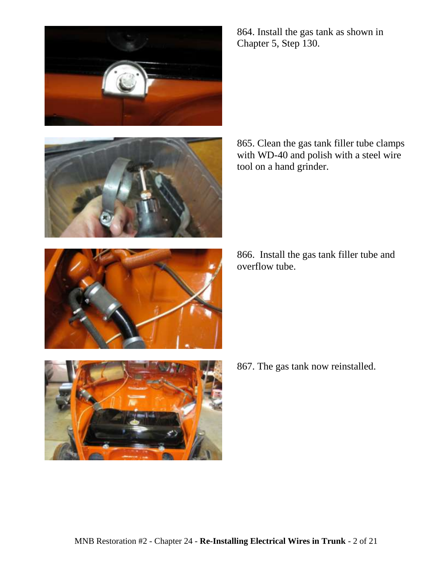



864. Install the gas tank as shown in Chapter 5, Step 130.

865. Clean the gas tank filler tube clamps with WD-40 and polish with a steel wire tool on a hand grinder.

866. Install the gas tank filler tube and overflow tube.



867. The gas tank now reinstalled.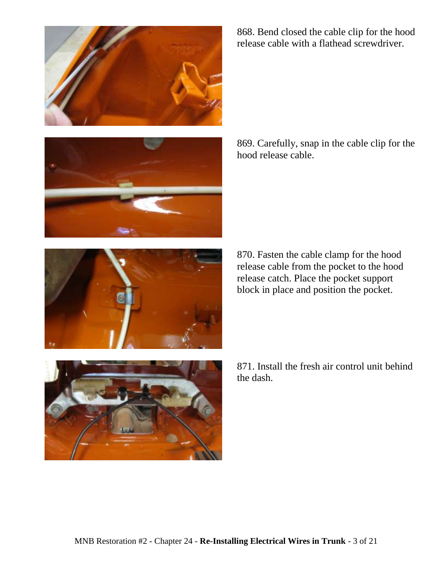





868. Bend closed the cable clip for the hood release cable with a flathead screwdriver.

869. Carefully, snap in the cable clip for the hood release cable.

870. Fasten the cable clamp for the hood release cable from the pocket to the hood release catch. Place the pocket support block in place and position the pocket.

871. Install the fresh air control unit behind the dash.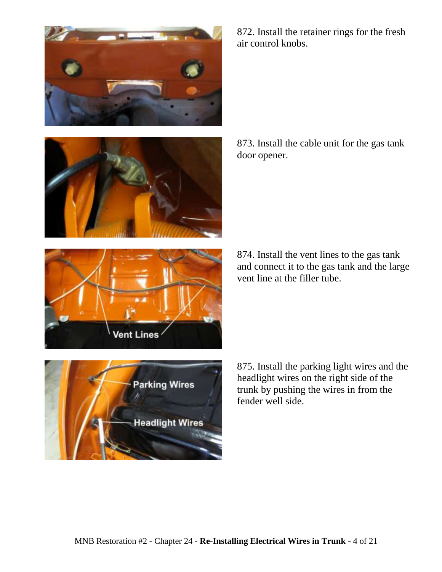



872. Install the retainer rings for the fresh air control knobs.

873. Install the cable unit for the gas tank door opener.

874. Install the vent lines to the gas tank and connect it to the gas tank and the large vent line at the filler tube.

**Parking Wires Headlight Wires**  875. Install the parking light wires and the headlight wires on the right side of the trunk by pushing the wires in from the fender well side.

**Vent Lines** 

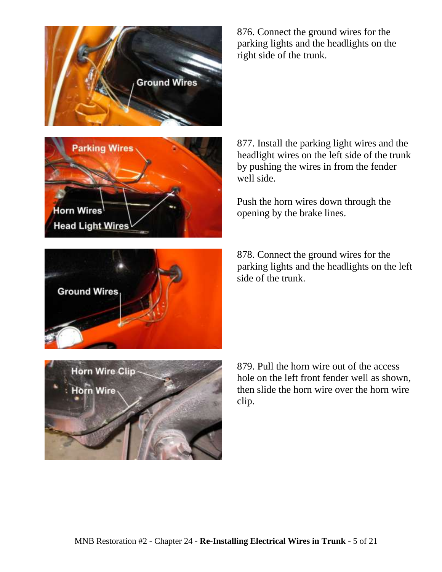

**Parking Wires** Horn Wires **Head Light Wires** 

876. Connect the ground wires for the parking lights and the headlights on the right side of the trunk.

877. Install the parking light wires and the headlight wires on the left side of the trunk by pushing the wires in from the fender well side.

Push the horn wires down through the opening by the brake lines.

878. Connect the ground wires for the parking lights and the headlights on the left side of the trunk.



879. Pull the horn wire out of the access hole on the left front fender well as shown, then slide the horn wire over the horn wire clip.

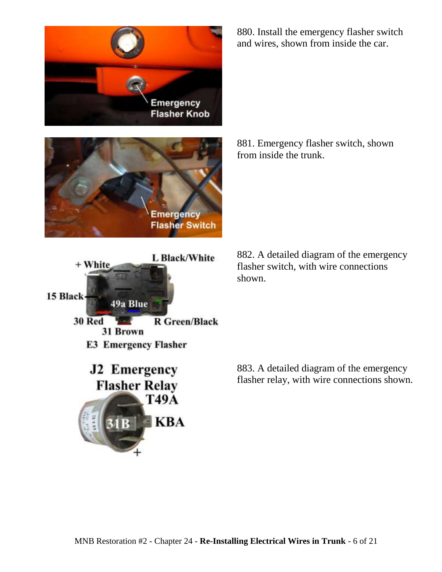







880. Install the emergency flasher switch and wires, shown from inside the car.

881. Emergency flasher switch, shown from inside the trunk.

882. A detailed diagram of the emergency flasher switch, with wire connections shown.

883. A detailed diagram of the emergency flasher relay, with wire connections shown.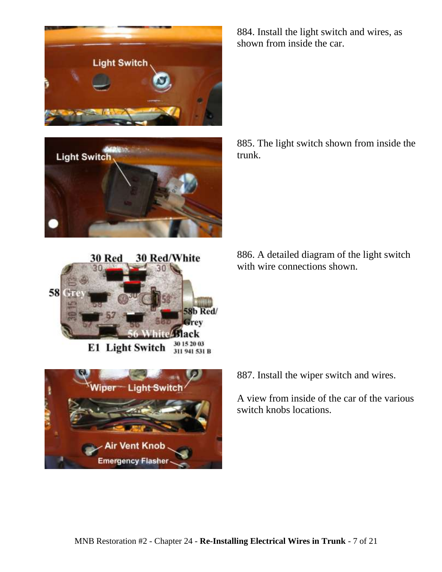







884. Install the light switch and wires, as shown from inside the car.

885. The light switch shown from inside the trunk.

886. A detailed diagram of the light switch with wire connections shown.

887. Install the wiper switch and wires.

A view from inside of the car of the various switch knobs locations.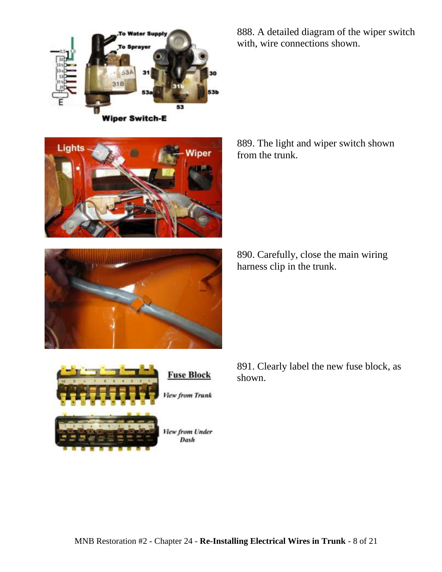



888. A detailed diagram of the wiper switch with, wire connections shown.

889. The light and wiper switch shown from the trunk.







891. Clearly label the new fuse block, as shown.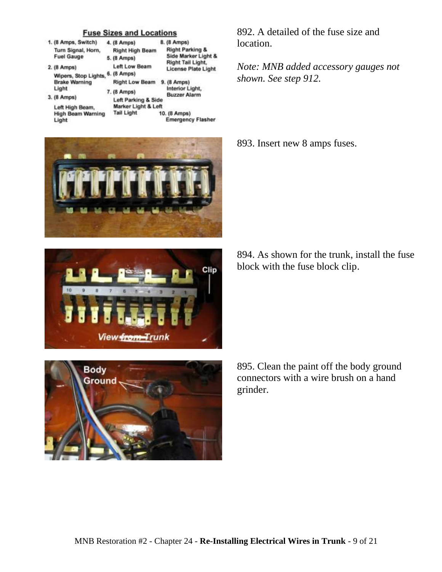## **Fuse Sizes and Locations**

| 1. (8 Amps, Switch)                     | 4. (8 Amps)                                | 8. (8 Amps)                                                                                   |
|-----------------------------------------|--------------------------------------------|-----------------------------------------------------------------------------------------------|
| Turn Signal, Horn,<br><b>Fuel Gauge</b> | <b>Right High Beam</b><br>5. (8 Amps)      | <b>Right Parking &amp;</b><br>Side Marker Light &<br>Right Tail Light,<br>License Plate Light |
| 2. (8 Amps)                             | <b>Left Low Beam</b>                       |                                                                                               |
| Wipers, Stop Lights, 6. (8 Amps)        |                                            |                                                                                               |
| <b>Brake Warning</b>                    | <b>Right Low Beam</b>                      | 9. (8 Amps)                                                                                   |
| Light                                   | 7. (8 Amps)                                | Interior Light,                                                                               |
| 3. (8 Amps)                             | <b>Buzzer Alarm</b><br>Left Parking & Side |                                                                                               |
| Left High Beam,                         | Marker Light & Left                        |                                                                                               |
| <b>High Beam Warning</b>                | <b>Tail Light</b>                          | 10. (8 Amps)                                                                                  |
| Light                                   |                                            | <b>Emergency Flasher</b>                                                                      |



Clip View from Trunk



892. A detailed of the fuse size and location.

*Note: MNB added accessory gauges not shown. See step 912.*

893. Insert new 8 amps fuses.

894. As shown for the trunk, install the fuse block with the fuse block clip.

895. Clean the paint off the body ground connectors with a wire brush on a hand grinder.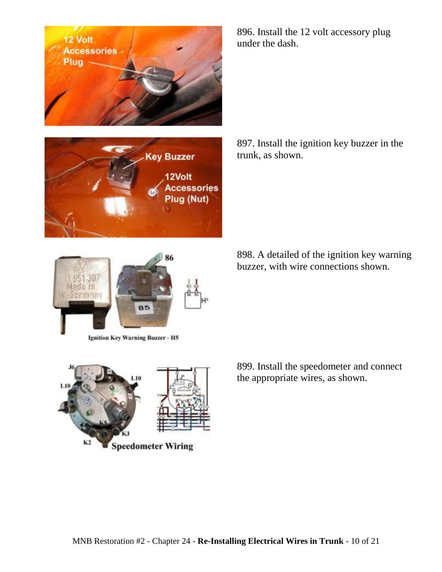12 Volt **Accessories** 





**Ignition Key Warning Buzzer - H5** 

К2 **Speedometer Wiring**  896. Install the 12 volt accessory plug under the dash.

897. Install the ignition key buzzer in the trunk, as shown.

898. A detailed of the ignition key warning buzzer, with wire connections shown.

899. Install the speedometer and connect the appropriate wires, as shown.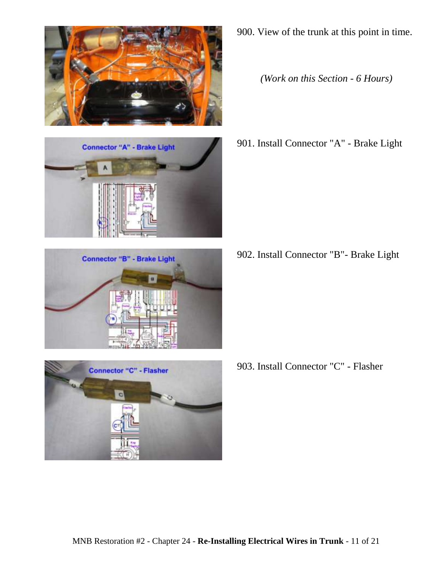







900. View of the trunk at this point in time.

*(Work on this Section - 6 Hours)*

901. Install Connector "A" - Brake Light

902. Install Connector "B"- Brake Light

903. Install Connector "C" - Flasher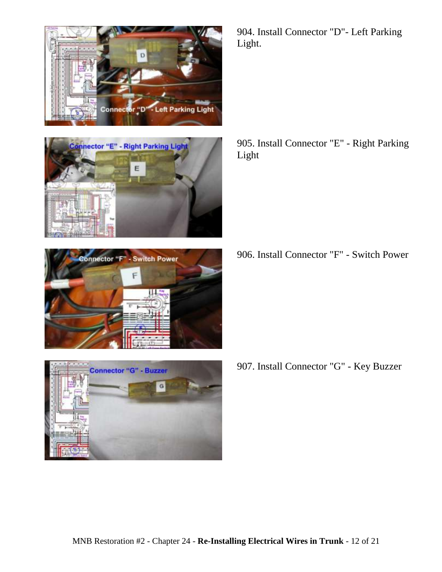





905. Install Connector "E" - Right Parking Light

906. Install Connector "F" - Switch Power

- **Connector "G" Buzzer** G
- 907. Install Connector "G" Key Buzzer

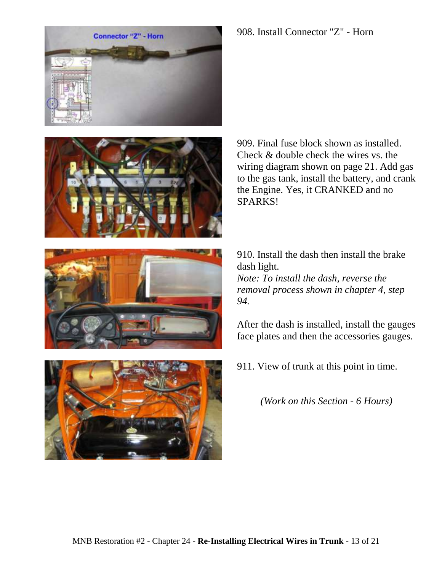







910. Install the dash then install the brake dash light. *Note: To install the dash, reverse the removal process shown in chapter 4, step 94.*

After the dash is installed, install the gauges face plates and then the accessories gauges.

911. View of trunk at this point in time.

*(Work on this Section - 6 Hours)*



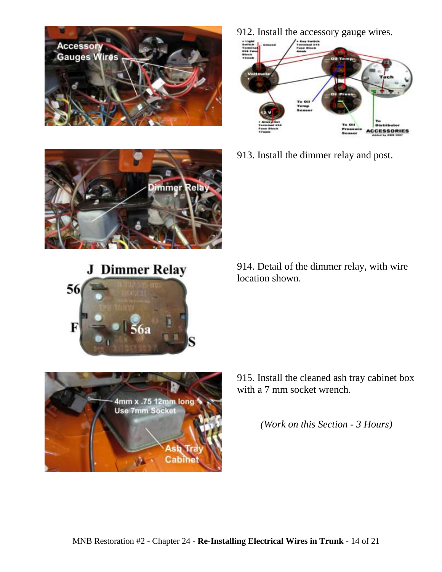

912. Install the accessory gauge wires.



913. Install the dimmer relay and post.



**J** Dimmer Relay







*(Work on this Section - 3 Hours)*

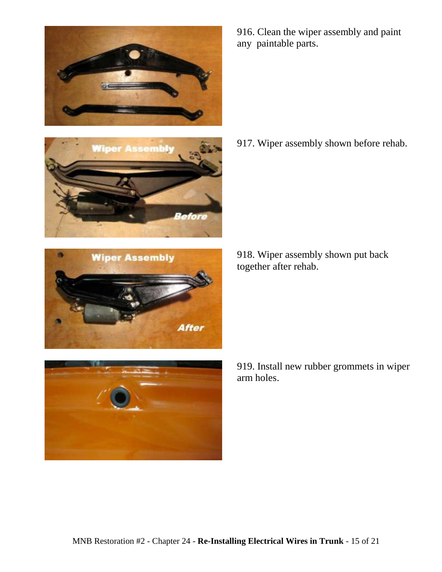







916. Clean the wiper assembly and paint any paintable parts.

917. Wiper assembly shown before rehab.

918. Wiper assembly shown put back together after rehab.

919. Install new rubber grommets in wiper arm holes.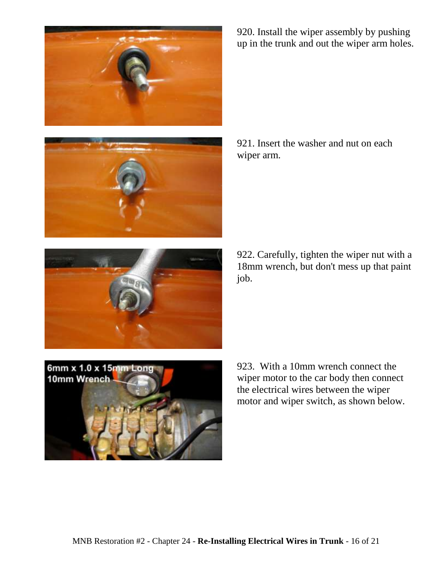



920. Install the wiper assembly by pushing up in the trunk and out the wiper arm holes.

921. Insert the washer and nut on each wiper arm.

922. Carefully, tighten the wiper nut with a 18mm wrench, but don't mess up that paint job.



923. With a 10mm wrench connect the wiper motor to the car body then connect the electrical wires between the wiper motor and wiper switch, as shown below.

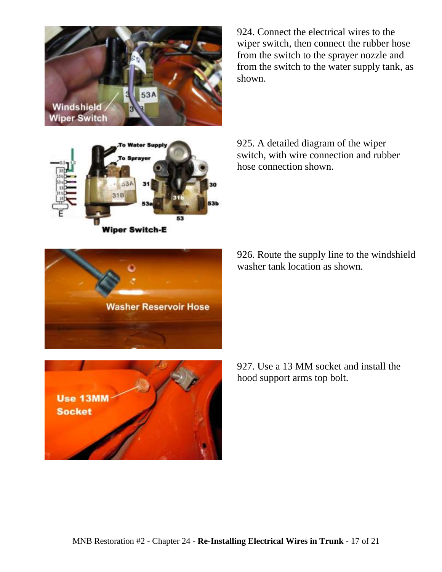

924. Connect the electrical wires to the wiper switch, then connect the rubber hose from the switch to the sprayer nozzle and from the switch to the water supply tank, as shown.

later Supply 53A  $31B$ 53 **Wiper Switch-E** 

hose connection shown.

925. A detailed diagram of the wiper switch, with wire connection and rubber



926. Route the supply line to the windshield washer tank location as shown.



927. Use a 13 MM socket and install the hood support arms top bolt.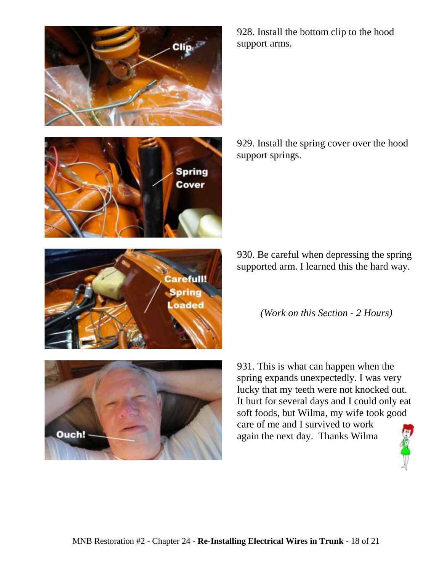





929. Install the spring cover over the hood support springs.

930. Be careful when depressing the spring supported arm. I learned this the hard way.

*(Work on this Section - 2 Hours)*







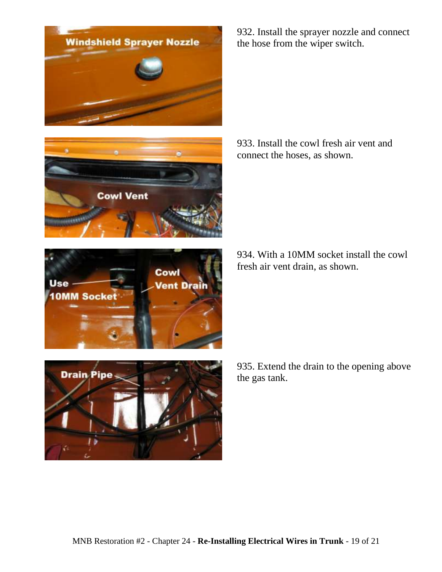



Use

**10MM Socket** 

Cowl

**Vent Drain** 



933. Install the cowl fresh air vent and connect the hoses, as shown.

934. With a 10MM socket install the cowl fresh air vent drain, as shown.



935. Extend the drain to the opening above the gas tank.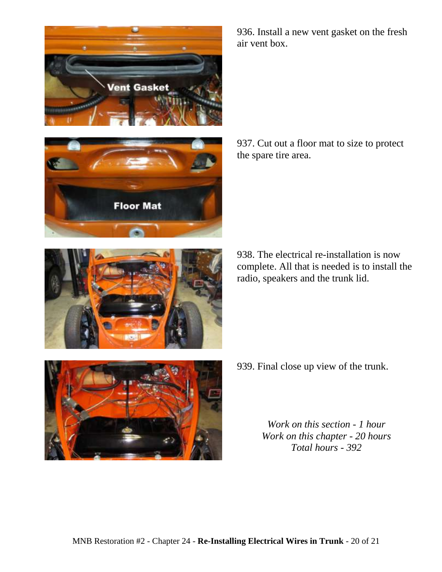



936. Install a new vent gasket on the fresh air vent box.

937. Cut out a floor mat to size to protect the spare tire area.

938. The electrical re-installation is now complete. All that is needed is to install the radio, speakers and the trunk lid.



939. Final close up view of the trunk.

*Work on this section - 1 hour Work on this chapter - 20 hours Total hours - 392*